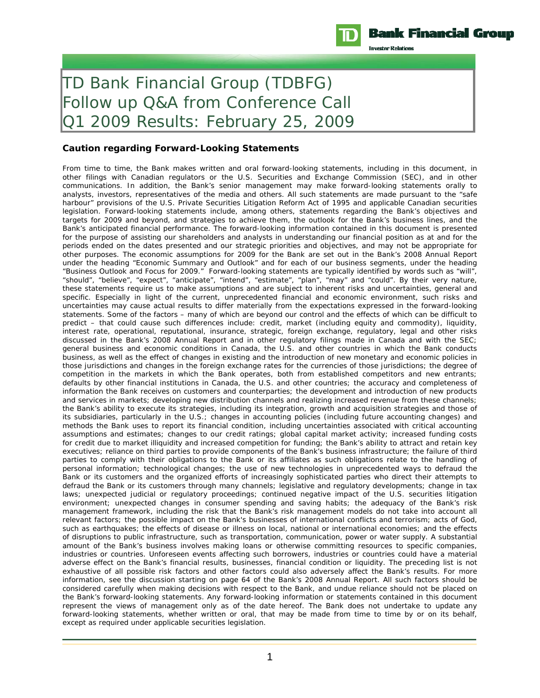

**Investor Relations** 

# TD Bank Financial Group (TDBFG) Follow up Q&A from Conference Call Q1 2009 Results: February 25, 2009

#### **Caution regarding Forward-Looking Statements**

From time to time, the Bank makes written and oral forward-looking statements, including in this document, in other filings with Canadian regulators or the U.S. Securities and Exchange Commission (SEC), and in other communications. In addition, the Bank's senior management may make forward-looking statements orally to analysts, investors, representatives of the media and others. All such statements are made pursuant to the "safe harbour" provisions of the U.S. Private Securities Litigation Reform Act of 1995 and applicable Canadian securities legislation. Forward-looking statements include, among others, statements regarding the Bank's objectives and targets for 2009 and beyond, and strategies to achieve them, the outlook for the Bank's business lines, and the Bank's anticipated financial performance. The forward-looking information contained in this document is presented for the purpose of assisting our shareholders and analysts in understanding our financial position as at and for the periods ended on the dates presented and our strategic priorities and objectives, and may not be appropriate for other purposes. The economic assumptions for 2009 for the Bank are set out in the Bank's 2008 Annual Report under the heading "Economic Summary and Outlook" and for each of our business segments, under the heading "Business Outlook and Focus for 2009." Forward-looking statements are typically identified by words such as "will", "should", "believe", "expect", "anticipate", "intend", "estimate", "plan", "may" and "could". By their very nature, these statements require us to make assumptions and are subject to inherent risks and uncertainties, general and specific. Especially in light of the current, unprecedented financial and economic environment, such risks and uncertainties may cause actual results to differ materially from the expectations expressed in the forward-looking statements. Some of the factors – many of which are beyond our control and the effects of which can be difficult to predict – that could cause such differences include: credit, market (including equity and commodity), liquidity, interest rate, operational, reputational, insurance, strategic, foreign exchange, regulatory, legal and other risks discussed in the Bank's 2008 Annual Report and in other regulatory filings made in Canada and with the SEC; general business and economic conditions in Canada, the U.S. and other countries in which the Bank conducts business, as well as the effect of changes in existing and the introduction of new monetary and economic policies in those jurisdictions and changes in the foreign exchange rates for the currencies of those jurisdictions; the degree of competition in the markets in which the Bank operates, both from established competitors and new entrants; defaults by other financial institutions in Canada, the U.S. and other countries; the accuracy and completeness of information the Bank receives on customers and counterparties; the development and introduction of new products and services in markets; developing new distribution channels and realizing increased revenue from these channels; the Bank's ability to execute its strategies, including its integration, growth and acquisition strategies and those of its subsidiaries, particularly in the U.S.; changes in accounting policies (including future accounting changes) and methods the Bank uses to report its financial condition, including uncertainties associated with critical accounting assumptions and estimates; changes to our credit ratings; global capital market activity; increased funding costs for credit due to market illiquidity and increased competition for funding; the Bank's ability to attract and retain key executives; reliance on third parties to provide components of the Bank's business infrastructure; the failure of third parties to comply with their obligations to the Bank or its affiliates as such obligations relate to the handling of personal information; technological changes; the use of new technologies in unprecedented ways to defraud the Bank or its customers and the organized efforts of increasingly sophisticated parties who direct their attempts to defraud the Bank or its customers through many channels; legislative and regulatory developments; change in tax laws; unexpected judicial or regulatory proceedings; continued negative impact of the U.S. securities litigation environment; unexpected changes in consumer spending and saving habits; the adequacy of the Bank's risk management framework, including the risk that the Bank's risk management models do not take into account all relevant factors; the possible impact on the Bank's businesses of international conflicts and terrorism; acts of God, such as earthquakes; the effects of disease or illness on local, national or international economies; and the effects of disruptions to public infrastructure, such as transportation, communication, power or water supply. A substantial amount of the Bank's business involves making loans or otherwise committing resources to specific companies, industries or countries. Unforeseen events affecting such borrowers, industries or countries could have a material adverse effect on the Bank's financial results, businesses, financial condition or liquidity. The preceding list is not exhaustive of all possible risk factors and other factors could also adversely affect the Bank's results. For more information, see the discussion starting on page 64 of the Bank's 2008 Annual Report. All such factors should be considered carefully when making decisions with respect to the Bank, and undue reliance should not be placed on the Bank's forward-looking statements. Any forward-looking information or statements contained in this document represent the views of management only as of the date hereof. The Bank does not undertake to update any forward-looking statements, whether written or oral, that may be made from time to time by or on its behalf, except as required under applicable securities legislation.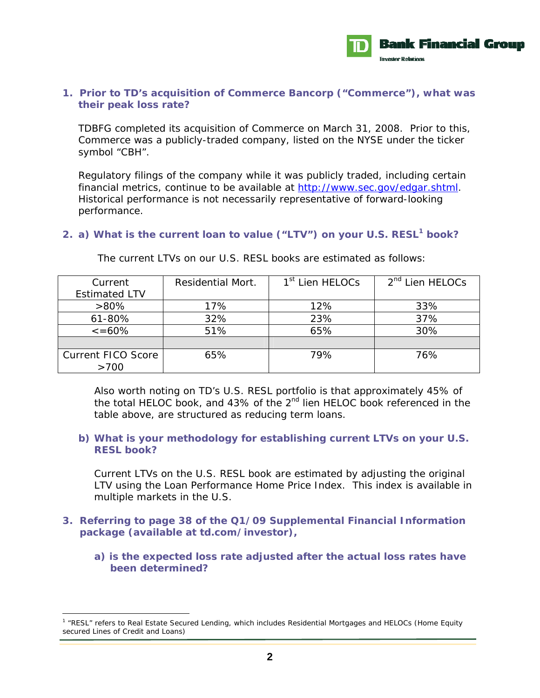

### **1. Prior to TD's acquisition of Commerce Bancorp ("Commerce"), what was their peak loss rate?**

TDBFG completed its acquisition of Commerce on March 31, 2008. Prior to this, Commerce was a publicly-traded company, listed on the NYSE under the ticker symbol "CBH".

Regulatory filings of the company while it was publicly traded, including certain financial metrics, continue to be available at http://www.sec.gov/edgar.shtml. Historical performance is not necessarily representative of forward-looking performance.

# **2. a) What is the current loan to value ("LTV") on your U.S. RESL1 book?**

| Current                   | <b>Residential Mort.</b> | 1 <sup>st</sup> Lien HELOCs | 2 <sup>nd</sup> Lien HELOCs |
|---------------------------|--------------------------|-----------------------------|-----------------------------|
| <b>Estimated LTV</b>      |                          |                             |                             |
| $>80\%$                   | 17%                      | 12%                         | 33%                         |
| 61-80%                    | 32%                      | 23%                         | 37%                         |
| $\epsilon = 60\%$         | 51%                      | 65%                         | 30%                         |
|                           |                          |                             |                             |
| <b>Current FICO Score</b> | 65%                      | 79%                         | 76%                         |
| >700                      |                          |                             |                             |

The current LTVs on our U.S. RESL books are estimated as follows:

Also worth noting on TD's U.S. RESL portfolio is that approximately 45% of the total HELOC book, and 43% of the 2<sup>nd</sup> lien HELOC book referenced in the table above, are structured as reducing term loans.

# **b) What is your methodology for establishing current LTVs on your U.S. RESL book?**

Current LTVs on the U.S. RESL book are estimated by adjusting the original LTV using the Loan Performance Home Price Index. This index is available in multiple markets in the U.S.

# **3. Referring to page 38 of the Q1/09 Supplemental Financial Information package (available at** *td.com/investor***),**

**a) is the expected loss rate adjusted after the actual loss rates have been determined?** 

l

<sup>&</sup>lt;sup>1</sup> "RESL" refers to Real Estate Secured Lending, which includes Residential Mortgages and HELOCs (Home Equity secured Lines of Credit and Loans)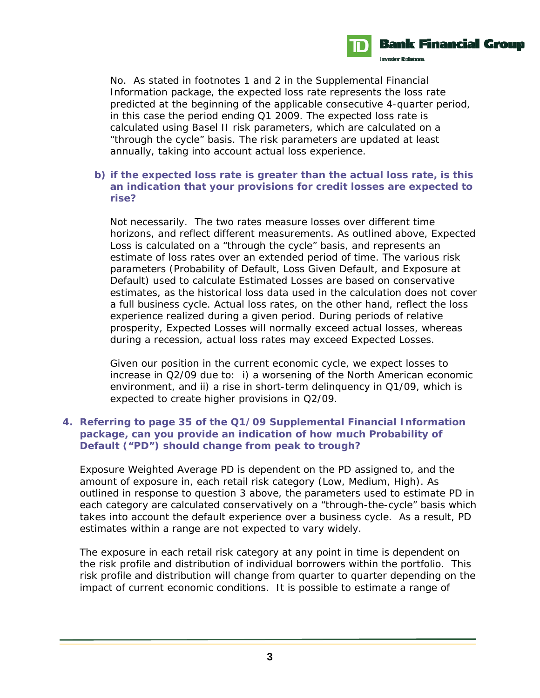

No. As stated in footnotes 1 and 2 in the Supplemental Financial Information package, the expected loss rate represents the loss rate predicted at the beginning of the applicable consecutive 4-quarter period, in this case the period ending Q1 2009. The expected loss rate is calculated using Basel II risk parameters, which are calculated on a "through the cycle" basis. The risk parameters are updated at least annually, taking into account actual loss experience.

#### **b) if the expected loss rate is greater than the actual loss rate, is this an indication that your provisions for credit losses are expected to rise?**

Not necessarily. The two rates measure losses over different time horizons, and reflect different measurements. As outlined above, Expected Loss is calculated on a "through the cycle" basis, and represents an estimate of loss rates over an extended period of time. The various risk parameters (Probability of Default, Loss Given Default, and Exposure at Default) used to calculate Estimated Losses are based on conservative estimates, as the historical loss data used in the calculation does not cover a full business cycle. Actual loss rates, on the other hand, reflect the loss experience realized during a given period. During periods of relative prosperity, Expected Losses will normally exceed actual losses, whereas during a recession, actual loss rates may exceed Expected Losses.

Given our position in the current economic cycle, we expect losses to increase in Q2/09 due to: i) a worsening of the North American economic environment, and ii) a rise in short-term delinquency in Q1/09, which is expected to create higher provisions in Q2/09.

# **4. Referring to page 35 of the Q1/09 Supplemental Financial Information package, can you provide an indication of how much Probability of Default ("PD") should change from peak to trough?**

Exposure Weighted Average PD is dependent on the PD assigned to, and the amount of exposure in, each retail risk category (Low, Medium, High). As outlined in response to question 3 above, the parameters used to estimate PD in each category are calculated conservatively on a "through-the-cycle" basis which takes into account the default experience over a business cycle. As a result, PD estimates within a range are not expected to vary widely.

The exposure in each retail risk category at any point in time is dependent on the risk profile and distribution of individual borrowers within the portfolio. This risk profile and distribution will change from quarter to quarter depending on the impact of current economic conditions. It is possible to estimate a range of